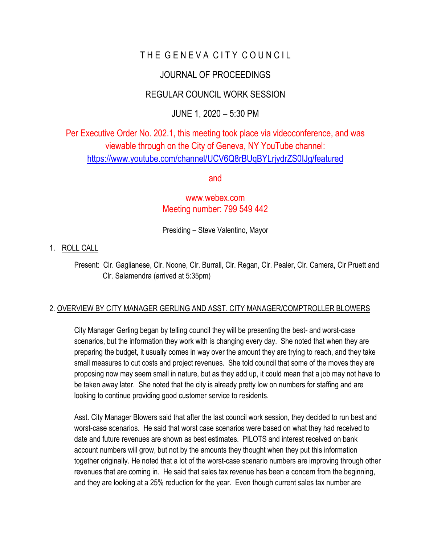# THE GENEVA CITY COUNCIL

## JOURNAL OF PROCEEDINGS

## REGULAR COUNCIL WORK SESSION

## JUNE 1, 2020 – 5:30 PM

Per Executive Order No. 202.1, this meeting took place via videoconference, and was viewable through on the City of Geneva, NY YouTube channel: <https://www.youtube.com/channel/UCV6Q8rBUqBYLrjydrZS0IJg/featured>

and

### [www.webex.com](http://www.webex.com/) Meeting number: 799 549 442

Presiding – Steve Valentino, Mayor

#### 1. ROLL CALL

 Present: Clr. Gaglianese, Clr. Noone, Clr. Burrall, Clr. Regan, Clr. Pealer, Clr. Camera, Clr Pruett and Clr. Salamendra (arrived at 5:35pm)

### 2. OVERVIEW BY CITY MANAGER GERLING AND ASST. CITY MANAGER/COMPTROLLER BLOWERS

City Manager Gerling began by telling council they will be presenting the best- and worst-case scenarios, but the information they work with is changing every day. She noted that when they are preparing the budget, it usually comes in way over the amount they are trying to reach, and they take small measures to cut costs and project revenues. She told council that some of the moves they are proposing now may seem small in nature, but as they add up, it could mean that a job may not have to be taken away later. She noted that the city is already pretty low on numbers for staffing and are looking to continue providing good customer service to residents.

Asst. City Manager Blowers said that after the last council work session, they decided to run best and worst-case scenarios. He said that worst case scenarios were based on what they had received to date and future revenues are shown as best estimates. PILOTS and interest received on bank account numbers will grow, but not by the amounts they thought when they put this information together originally. He noted that a lot of the worst-case scenario numbers are improving through other revenues that are coming in. He said that sales tax revenue has been a concern from the beginning, and they are looking at a 25% reduction for the year. Even though current sales tax number are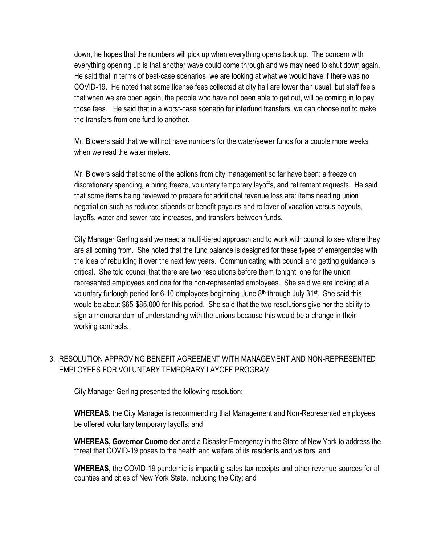down, he hopes that the numbers will pick up when everything opens back up. The concern with everything opening up is that another wave could come through and we may need to shut down again. He said that in terms of best-case scenarios, we are looking at what we would have if there was no COVID-19. He noted that some license fees collected at city hall are lower than usual, but staff feels that when we are open again, the people who have not been able to get out, will be coming in to pay those fees. He said that in a worst-case scenario for interfund transfers, we can choose not to make the transfers from one fund to another.

Mr. Blowers said that we will not have numbers for the water/sewer funds for a couple more weeks when we read the water meters.

Mr. Blowers said that some of the actions from city management so far have been: a freeze on discretionary spending, a hiring freeze, voluntary temporary layoffs, and retirement requests. He said that some items being reviewed to prepare for additional revenue loss are: items needing union negotiation such as reduced stipends or benefit payouts and rollover of vacation versus payouts, layoffs, water and sewer rate increases, and transfers between funds.

City Manager Gerling said we need a multi-tiered approach and to work with council to see where they are all coming from. She noted that the fund balance is designed for these types of emergencies with the idea of rebuilding it over the next few years. Communicating with council and getting guidance is critical. She told council that there are two resolutions before them tonight, one for the union represented employees and one for the non-represented employees. She said we are looking at a voluntary furlough period for 6-10 employees beginning June  $8<sup>th</sup>$  through July 31<sup>st</sup>. She said this would be about \$65-\$85,000 for this period. She said that the two resolutions give her the ability to sign a memorandum of understanding with the unions because this would be a change in their working contracts.

### 3. RESOLUTION APPROVING BENEFIT AGREEMENT WITH MANAGEMENT AND NON-REPRESENTED EMPLOYEES FOR VOLUNTARY TEMPORARY LAYOFF PROGRAM

City Manager Gerling presented the following resolution:

**WHEREAS,** the City Manager is recommending that Management and Non-Represented employees be offered voluntary temporary layoffs; and

**WHEREAS, Governor Cuomo** declared a Disaster Emergency in the State of New York to address the threat that COVID-19 poses to the health and welfare of its residents and visitors; and

**WHEREAS,** the COVID-19 pandemic is impacting sales tax receipts and other revenue sources for all counties and cities of New York State, including the City; and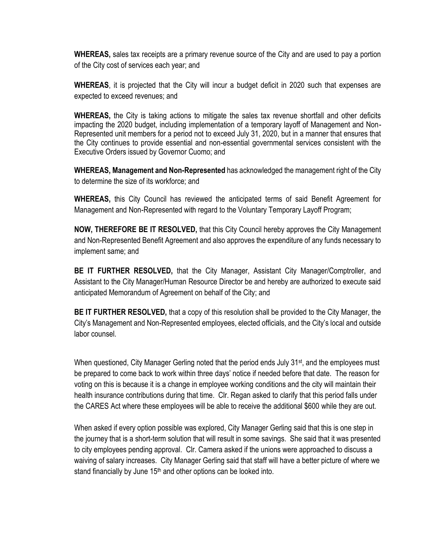**WHEREAS,** sales tax receipts are a primary revenue source of the City and are used to pay a portion of the City cost of services each year; and

**WHEREAS**, it is projected that the City will incur a budget deficit in 2020 such that expenses are expected to exceed revenues; and

**WHEREAS,** the City is taking actions to mitigate the sales tax revenue shortfall and other deficits impacting the 2020 budget, including implementation of a temporary layoff of Management and Non-Represented unit members for a period not to exceed July 31, 2020, but in a manner that ensures that the City continues to provide essential and non-essential governmental services consistent with the Executive Orders issued by Governor Cuomo; and

**WHEREAS, Management and Non-Represented** has acknowledged the management right of the City to determine the size of its workforce; and

**WHEREAS,** this City Council has reviewed the anticipated terms of said Benefit Agreement for Management and Non-Represented with regard to the Voluntary Temporary Layoff Program;

**NOW, THEREFORE BE IT RESOLVED,** that this City Council hereby approves the City Management and Non-Represented Benefit Agreement and also approves the expenditure of any funds necessary to implement same; and

**BE IT FURTHER RESOLVED,** that the City Manager, Assistant City Manager/Comptroller, and Assistant to the City Manager/Human Resource Director be and hereby are authorized to execute said anticipated Memorandum of Agreement on behalf of the City; and

**BE IT FURTHER RESOLVED,** that a copy of this resolution shall be provided to the City Manager, the City's Management and Non-Represented employees, elected officials, and the City's local and outside labor counsel.

When questioned, City Manager Gerling noted that the period ends July 31<sup>st</sup>, and the employees must be prepared to come back to work within three days' notice if needed before that date. The reason for voting on this is because it is a change in employee working conditions and the city will maintain their health insurance contributions during that time. Clr. Regan asked to clarify that this period falls under the CARES Act where these employees will be able to receive the additional \$600 while they are out.

When asked if every option possible was explored, City Manager Gerling said that this is one step in the journey that is a short-term solution that will result in some savings. She said that it was presented to city employees pending approval. Clr. Camera asked if the unions were approached to discuss a waiving of salary increases. City Manager Gerling said that staff will have a better picture of where we stand financially by June  $15<sup>th</sup>$  and other options can be looked into.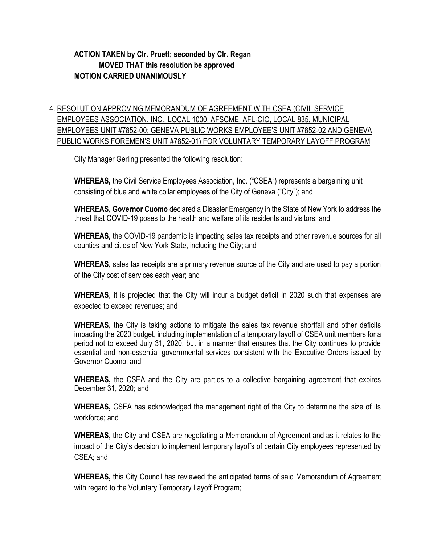### **ACTION TAKEN by Clr. Pruett; seconded by Clr. Regan MOVED THAT this resolution be approved MOTION CARRIED UNANIMOUSLY**

## 4. RESOLUTION APPROVING MEMORANDUM OF AGREEMENT WITH CSEA (CIVIL SERVICE EMPLOYEES ASSOCIATION, INC., LOCAL 1000, AFSCME, AFL-CIO, LOCAL 835, MUNICIPAL EMPLOYEES UNIT #7852-00; GENEVA PUBLIC WORKS EMPLOYEE'S UNIT #7852-02 AND GENEVA PUBLIC WORKS FOREMEN'S UNIT #7852-01) FOR VOLUNTARY TEMPORARY LAYOFF PROGRAM

City Manager Gerling presented the following resolution:

**WHEREAS,** the Civil Service Employees Association, Inc. ("CSEA") represents a bargaining unit consisting of blue and white collar employees of the City of Geneva ("City"); and

**WHEREAS, Governor Cuomo** declared a Disaster Emergency in the State of New York to address the threat that COVID-19 poses to the health and welfare of its residents and visitors; and

**WHEREAS,** the COVID-19 pandemic is impacting sales tax receipts and other revenue sources for all counties and cities of New York State, including the City; and

**WHEREAS,** sales tax receipts are a primary revenue source of the City and are used to pay a portion of the City cost of services each year; and

**WHEREAS**, it is projected that the City will incur a budget deficit in 2020 such that expenses are expected to exceed revenues; and

**WHEREAS,** the City is taking actions to mitigate the sales tax revenue shortfall and other deficits impacting the 2020 budget, including implementation of a temporary layoff of CSEA unit members for a period not to exceed July 31, 2020, but in a manner that ensures that the City continues to provide essential and non-essential governmental services consistent with the Executive Orders issued by Governor Cuomo; and

**WHEREAS,** the CSEA and the City are parties to a collective bargaining agreement that expires December 31, 2020; and

**WHEREAS,** CSEA has acknowledged the management right of the City to determine the size of its workforce; and

**WHEREAS,** the City and CSEA are negotiating a Memorandum of Agreement and as it relates to the impact of the City's decision to implement temporary layoffs of certain City employees represented by CSEA; and

**WHEREAS,** this City Council has reviewed the anticipated terms of said Memorandum of Agreement with regard to the Voluntary Temporary Layoff Program;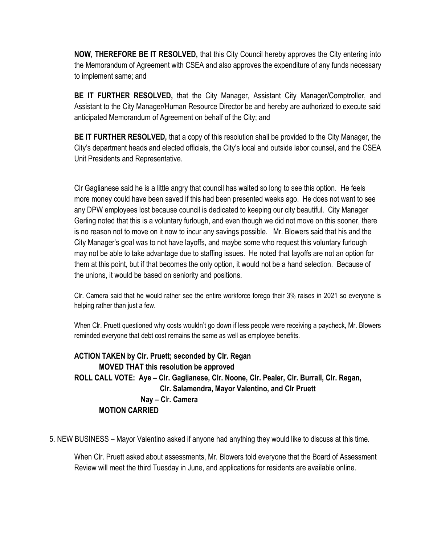**NOW, THEREFORE BE IT RESOLVED,** that this City Council hereby approves the City entering into the Memorandum of Agreement with CSEA and also approves the expenditure of any funds necessary to implement same; and

**BE IT FURTHER RESOLVED,** that the City Manager, Assistant City Manager/Comptroller, and Assistant to the City Manager/Human Resource Director be and hereby are authorized to execute said anticipated Memorandum of Agreement on behalf of the City; and

**BE IT FURTHER RESOLVED,** that a copy of this resolution shall be provided to the City Manager, the City's department heads and elected officials, the City's local and outside labor counsel, and the CSEA Unit Presidents and Representative.

Clr Gaglianese said he is a little angry that council has waited so long to see this option. He feels more money could have been saved if this had been presented weeks ago. He does not want to see any DPW employees lost because council is dedicated to keeping our city beautiful. City Manager Gerling noted that this is a voluntary furlough, and even though we did not move on this sooner, there is no reason not to move on it now to incur any savings possible. Mr. Blowers said that his and the City Manager's goal was to not have layoffs, and maybe some who request this voluntary furlough may not be able to take advantage due to staffing issues. He noted that layoffs are not an option for them at this point, but if that becomes the only option, it would not be a hand selection. Because of the unions, it would be based on seniority and positions.

Clr. Camera said that he would rather see the entire workforce forego their 3% raises in 2021 so everyone is helping rather than just a few.

When Clr. Pruett questioned why costs wouldn't go down if less people were receiving a paycheck, Mr. Blowers reminded everyone that debt cost remains the same as well as employee benefits.

**ACTION TAKEN by Clr. Pruett; seconded by Clr. Regan MOVED THAT this resolution be approved ROLL CALL VOTE: Aye – Clr. Gaglianese, Clr. Noone, Clr. Pealer, Clr. Burrall, Clr. Regan, Clr. Salamendra, Mayor Valentino, and Clr Pruett Nay – C**lr**. Camera MOTION CARRIED**

5. NEW BUSINESS – Mayor Valentino asked if anyone had anything they would like to discuss at this time.

When Clr. Pruett asked about assessments, Mr. Blowers told everyone that the Board of Assessment Review will meet the third Tuesday in June, and applications for residents are available online.